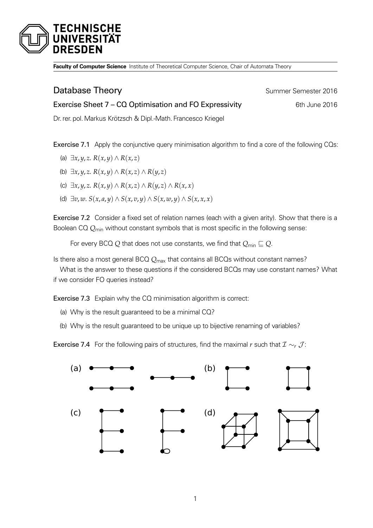

**Faculty of Computer Science** Institute of Theoretical Computer Science, Chair of Automata Theory

## **Database Theory Summer Semester 2016**

Exercise Sheet 7 – CQ Optimisation and FO Expressivity 6th June 2016 Dr. rer. pol.Markus Krötzsch & Dipl.-Math. Francesco Kriegel

Exercise 7.1 Apply the conjunctive query minimisation algorithm to find a core of the following CQs:

- (a)  $\exists x, y, z$ .  $R(x, y) \wedge R(x, z)$
- (b)  $\exists x, y, z$ .  $R(x, y) \wedge R(x, z) \wedge R(y, z)$
- (c) ∃*x*, *y*, *z*. *R*(*x*, *y*) ∧ *R*(*x*, *z*) ∧ *R*(*y*, *z*) ∧ *R*(*x*, *x*)
- (d)  $\exists v, w$ .  $S(x, a, y) \wedge S(x, v, y) \wedge S(x, w, y) \wedge S(x, x, x)$

Exercise 7.2 Consider a fixed set of relation names (each with a given arity). Show that there is a Boolean CQ *Q*min without constant symbols that is most specific in the following sense:

For every BCQ Q that does not use constants, we find that  $Q_{min} \sqsubseteq Q$ .

Is there also a most general BCQ *Q*max that contains all BCQs without constant names?

What is the answer to these questions if the considered BCQs may use constant names? What if we consider FO queries instead?

Exercise 7.3 Explain why the CQ minimisation algorithm is correct:

- (a) Why is the result guaranteed to be a minimal CQ?
- (b) Why is the result guaranteed to be unique up to bijective renaming of variables?

**Exercise 7.4** For the following pairs of structures, find the maximal *r* such that  $\mathcal{I} \sim_r \mathcal{J}$ :